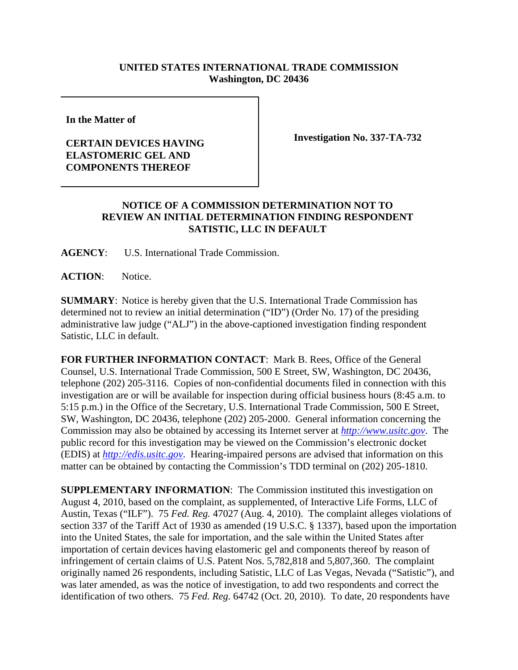## **UNITED STATES INTERNATIONAL TRADE COMMISSION Washington, DC 20436**

**In the Matter of**

## **CERTAIN DEVICES HAVING ELASTOMERIC GEL AND COMPONENTS THEREOF**

**Investigation No. 337-TA-732**

## **NOTICE OF A COMMISSION DETERMINATION NOT TO REVIEW AN INITIAL DETERMINATION FINDING RESPONDENT SATISTIC, LLC IN DEFAULT**

**AGENCY**: U.S. International Trade Commission.

**ACTION**: Notice.

**SUMMARY**: Notice is hereby given that the U.S. International Trade Commission has determined not to review an initial determination ("ID") (Order No. 17) of the presiding administrative law judge ("ALJ") in the above-captioned investigation finding respondent Satistic, LLC in default.

**FOR FURTHER INFORMATION CONTACT**: Mark B. Rees, Office of the General Counsel, U.S. International Trade Commission, 500 E Street, SW, Washington, DC 20436, telephone (202) 205-3116. Copies of non-confidential documents filed in connection with this investigation are or will be available for inspection during official business hours (8:45 a.m. to 5:15 p.m.) in the Office of the Secretary, U.S. International Trade Commission, 500 E Street, SW, Washington, DC 20436, telephone (202) 205-2000. General information concerning the Commission may also be obtained by accessing its Internet server at *http://www.usitc.gov*. The public record for this investigation may be viewed on the Commission's electronic docket (EDIS) at *http://edis.usitc.gov*. Hearing-impaired persons are advised that information on this matter can be obtained by contacting the Commission's TDD terminal on (202) 205-1810.

**SUPPLEMENTARY INFORMATION**: The Commission instituted this investigation on August 4, 2010, based on the complaint, as supplemented, of Interactive Life Forms, LLC of Austin, Texas ("ILF"). 75 *Fed. Reg.* 47027 (Aug. 4, 2010). The complaint alleges violations of section 337 of the Tariff Act of 1930 as amended (19 U.S.C. § 1337), based upon the importation into the United States, the sale for importation, and the sale within the United States after importation of certain devices having elastomeric gel and components thereof by reason of infringement of certain claims of U.S. Patent Nos. 5,782,818 and 5,807,360. The complaint originally named 26 respondents, including Satistic, LLC of Las Vegas, Nevada ("Satistic"), and was later amended, as was the notice of investigation, to add two respondents and correct the identification of two others. 75 *Fed. Reg.* 64742 (Oct. 20, 2010). To date, 20 respondents have